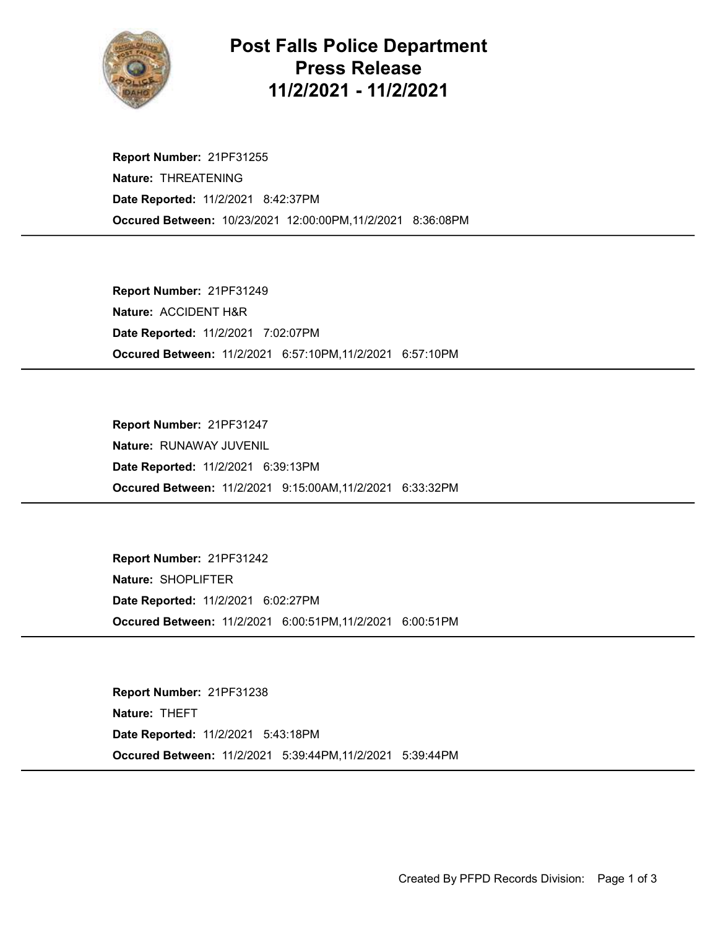

## Post Falls Police Department Press Release 11/2/2021 - 11/2/2021

Occured Between: 10/23/2021 12:00:00PM,11/2/2021 8:36:08PM Report Number: 21PF31255 Nature: THREATENING Date Reported: 11/2/2021 8:42:37PM

Occured Between: 11/2/2021 6:57:10PM,11/2/2021 6:57:10PM Report Number: 21PF31249 Nature: ACCIDENT H&R Date Reported: 11/2/2021 7:02:07PM

Occured Between: 11/2/2021 9:15:00AM,11/2/2021 6:33:32PM Report Number: 21PF31247 Nature: RUNAWAY JUVENIL Date Reported: 11/2/2021 6:39:13PM

Occured Between: 11/2/2021 6:00:51PM,11/2/2021 6:00:51PM Report Number: 21PF31242 Nature: SHOPLIFTER Date Reported: 11/2/2021 6:02:27PM

Occured Between: 11/2/2021 5:39:44PM,11/2/2021 5:39:44PM Report Number: 21PF31238 Nature: THEFT Date Reported: 11/2/2021 5:43:18PM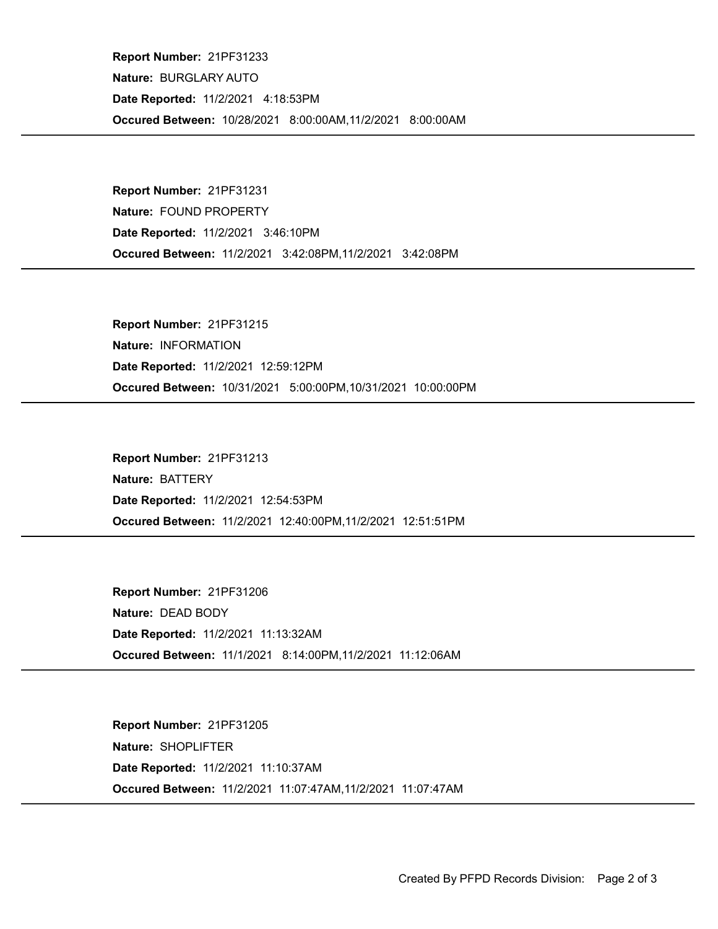Occured Between: 10/28/2021 8:00:00AM,11/2/2021 8:00:00AM Report Number: 21PF31233 Nature: BURGLARY AUTO Date Reported: 11/2/2021 4:18:53PM

Occured Between: 11/2/2021 3:42:08PM,11/2/2021 3:42:08PM Report Number: 21PF31231 Nature: FOUND PROPERTY Date Reported: 11/2/2021 3:46:10PM

Occured Between: 10/31/2021 5:00:00PM,10/31/2021 10:00:00PM Report Number: 21PF31215 Nature: INFORMATION Date Reported: 11/2/2021 12:59:12PM

Occured Between: 11/2/2021 12:40:00PM,11/2/2021 12:51:51PM Report Number: 21PF31213 Nature: BATTERY Date Reported: 11/2/2021 12:54:53PM

Occured Between: 11/1/2021 8:14:00PM,11/2/2021 11:12:06AM Report Number: 21PF31206 Nature: DEAD BODY Date Reported: 11/2/2021 11:13:32AM

Occured Between: 11/2/2021 11:07:47AM,11/2/2021 11:07:47AM Report Number: 21PF31205 Nature: SHOPLIFTER Date Reported: 11/2/2021 11:10:37AM